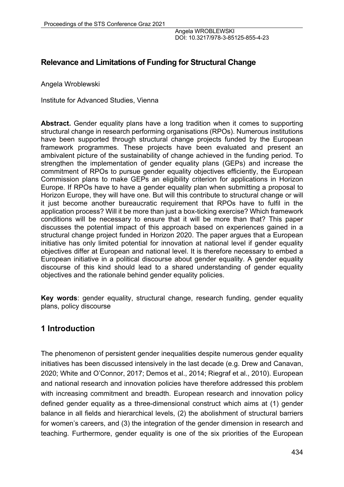# **Relevance and Limitations of Funding for Structural Change**

Angela Wroblewski

Institute for Advanced Studies, Vienna

**Abstract.** Gender equality plans have a long tradition when it comes to supporting structural change in research performing organisations (RPOs). Numerous institutions have been supported through structural change projects funded by the European framework programmes. These projects have been evaluated and present an ambivalent picture of the sustainability of change achieved in the funding period. To strengthen the implementation of gender equality plans (GEPs) and increase the commitment of RPOs to pursue gender equality objectives efficiently, the European Commission plans to make GEPs an eligibility criterion for applications in Horizon Europe. If RPOs have to have a gender equality plan when submitting a proposal to Horizon Europe, they will have one. But will this contribute to structural change or will it just become another bureaucratic requirement that RPOs have to fulfil in the application process? Will it be more than just a box-ticking exercise? Which framework conditions will be necessary to ensure that it will be more than that? This paper discusses the potential impact of this approach based on experiences gained in a structural change project funded in Horizon 2020. The paper argues that a European initiative has only limited potential for innovation at national level if gender equality objectives differ at European and national level. It is therefore necessary to embed a European initiative in a political discourse about gender equality. A gender equality discourse of this kind should lead to a shared understanding of gender equality objectives and the rationale behind gender equality policies.

**Key words**: gender equality, structural change, research funding, gender equality plans, policy discourse

# **1 Introduction**

The phenomenon of persistent gender inequalities despite numerous gender equality initiatives has been discussed intensively in the last decade (e.g. Drew and Canavan, 2020; White and O'Connor, 2017; Demos et al., 2014; Riegraf et al., 2010). European and national research and innovation policies have therefore addressed this problem with increasing commitment and breadth. European research and innovation policy defined gender equality as a three-dimensional construct which aims at (1) gender balance in all fields and hierarchical levels, (2) the abolishment of structural barriers for women's careers, and (3) the integration of the gender dimension in research and teaching. Furthermore, gender equality is one of the six priorities of the European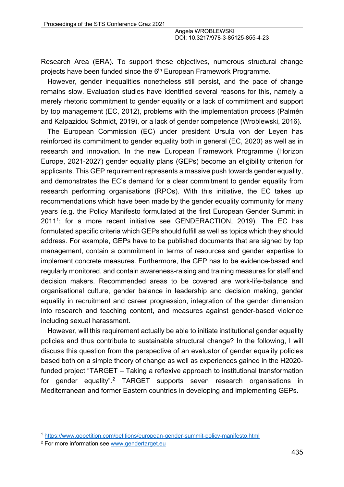Research Area (ERA). To support these objectives, numerous structural change projects have been funded since the 6<sup>th</sup> European Framework Programme.

However, gender inequalities nonetheless still persist, and the pace of change remains slow. Evaluation studies have identified several reasons for this, namely a merely rhetoric commitment to gender equality or a lack of commitment and support by top management (EC, 2012), problems with the implementation process (Palmén and Kalpazidou Schmidt, 2019), or a lack of gender competence (Wroblewski, 2016).

The European Commission (EC) under president Ursula von der Leyen has reinforced its commitment to gender equality both in general (EC, 2020) as well as in research and innovation. In the new European Framework Programme (Horizon Europe, 2021-2027) gender equality plans (GEPs) become an eligibility criterion for applicants. This GEP requirement represents a massive push towards gender equality, and demonstrates the EC's demand for a clear commitment to gender equality from research performing organisations (RPOs). With this initiative, the EC takes up recommendations which have been made by the gender equality community for many years (e.g. the Policy Manifesto formulated at the first European Gender Summit in 20111; for a more recent initiative see GENDERACTION, 2019). The EC has formulated specific criteria which GEPs should fulfill as well as topics which they should address. For example, GEPs have to be published documents that are signed by top management, contain a commitment in terms of resources and gender expertise to implement concrete measures. Furthermore, the GEP has to be evidence-based and regularly monitored, and contain awareness-raising and training measures for staff and decision makers. Recommended areas to be covered are work-life-balance and organisational culture, gender balance in leadership and decision making, gender equality in recruitment and career progression, integration of the gender dimension into research and teaching content, and measures against gender-based violence including sexual harassment.

However, will this requirement actually be able to initiate institutional gender equality policies and thus contribute to sustainable structural change? In the following, I will discuss this question from the perspective of an evaluator of gender equality policies based both on a simple theory of change as well as experiences gained in the H2020 funded project "TARGET – Taking a reflexive approach to institutional transformation for gender equality".<sup>2</sup> TARGET supports seven research organisations in Mediterranean and former Eastern countries in developing and implementing GEPs.

<sup>1</sup> https://www.gopetition.com/petitions/european-gender-summit-policy-manifesto.html

<sup>2</sup> For more information see www.gendertarget.eu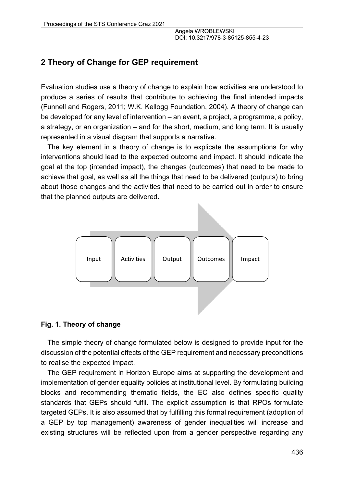# **2 Theory of Change for GEP requirement**

Evaluation studies use a theory of change to explain how activities are understood to produce a series of results that contribute to achieving the final intended impacts (Funnell and Rogers, 2011; W.K. Kellogg Foundation, 2004). A theory of change can be developed for any level of intervention – an event, a project, a programme, a policy, a strategy, or an organization – and for the short, medium, and long term. It is usually represented in a visual diagram that supports a narrative.

The key element in a theory of change is to explicate the assumptions for why interventions should lead to the expected outcome and impact. It should indicate the goal at the top (intended impact), the changes (outcomes) that need to be made to achieve that goal, as well as all the things that need to be delivered (outputs) to bring about those changes and the activities that need to be carried out in order to ensure that the planned outputs are delivered.



#### **Fig. 1. Theory of change**

The simple theory of change formulated below is designed to provide input for the discussion of the potential effects of the GEP requirement and necessary preconditions to realise the expected impact.

The GEP requirement in Horizon Europe aims at supporting the development and implementation of gender equality policies at institutional level. By formulating building blocks and recommending thematic fields, the EC also defines specific quality standards that GEPs should fulfil. The explicit assumption is that RPOs formulate targeted GEPs. It is also assumed that by fulfilling this formal requirement (adoption of a GEP by top management) awareness of gender inequalities will increase and existing structures will be reflected upon from a gender perspective regarding any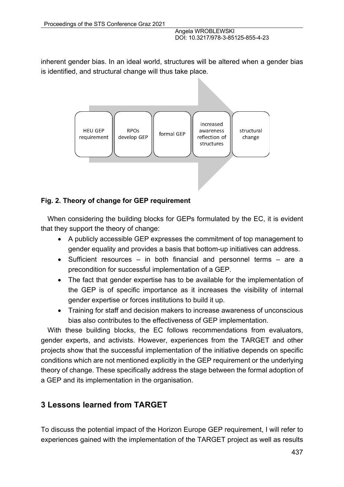inherent gender bias. In an ideal world, structures will be altered when a gender bias is identified, and structural change will thus take place.



## **Fig. 2. Theory of change for GEP requirement**

When considering the building blocks for GEPs formulated by the EC, it is evident that they support the theory of change:

- A publicly accessible GEP expresses the commitment of top management to gender equality and provides a basis that bottom-up initiatives can address.
- Sufficient resources in both financial and personnel terms are a precondition for successful implementation of a GEP.
- The fact that gender expertise has to be available for the implementation of the GEP is of specific importance as it increases the visibility of internal gender expertise or forces institutions to build it up.
- Training for staff and decision makers to increase awareness of unconscious bias also contributes to the effectiveness of GEP implementation.

With these building blocks, the EC follows recommendations from evaluators, gender experts, and activists. However, experiences from the TARGET and other projects show that the successful implementation of the initiative depends on specific conditions which are not mentioned explicitly in the GEP requirement or the underlying theory of change. These specifically address the stage between the formal adoption of a GEP and its implementation in the organisation.

# **3 Lessons learned from TARGET**

To discuss the potential impact of the Horizon Europe GEP requirement, I will refer to experiences gained with the implementation of the TARGET project as well as results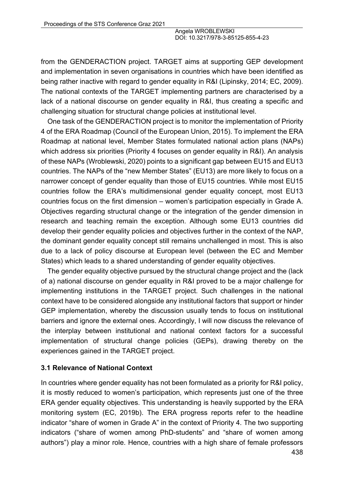from the GENDERACTION project. TARGET aims at supporting GEP development and implementation in seven organisations in countries which have been identified as being rather inactive with regard to gender equality in R&I (Lipinsky, 2014; EC, 2009). The national contexts of the TARGET implementing partners are characterised by a lack of a national discourse on gender equality in R&I, thus creating a specific and challenging situation for structural change policies at institutional level.

One task of the GENDERACTION project is to monitor the implementation of Priority 4 of the ERA Roadmap (Council of the European Union, 2015). To implement the ERA Roadmap at national level, Member States formulated national action plans (NAPs) which address six priorities (Priority 4 focuses on gender equality in R&I). An analysis of these NAPs (Wroblewski, 2020) points to a significant gap between EU15 and EU13 countries. The NAPs of the "new Member States" (EU13) are more likely to focus on a narrower concept of gender equality than those of EU15 countries. While most EU15 countries follow the ERA's multidimensional gender equality concept, most EU13 countries focus on the first dimension – women's participation especially in Grade A. Objectives regarding structural change or the integration of the gender dimension in research and teaching remain the exception. Although some EU13 countries did develop their gender equality policies and objectives further in the context of the NAP, the dominant gender equality concept still remains unchallenged in most. This is also due to a lack of policy discourse at European level (between the EC and Member States) which leads to a shared understanding of gender equality objectives.

The gender equality objective pursued by the structural change project and the (lack of a) national discourse on gender equality in R&I proved to be a major challenge for implementing institutions in the TARGET project. Such challenges in the national context have to be considered alongside any institutional factors that support or hinder GEP implementation, whereby the discussion usually tends to focus on institutional barriers and ignore the external ones. Accordingly, I will now discuss the relevance of the interplay between institutional and national context factors for a successful implementation of structural change policies (GEPs), drawing thereby on the experiences gained in the TARGET project.

#### **3.1 Relevance of National Context**

In countries where gender equality has not been formulated as a priority for R&I policy, it is mostly reduced to women's participation, which represents just one of the three ERA gender equality objectives. This understanding is heavily supported by the ERA monitoring system (EC, 2019b). The ERA progress reports refer to the headline indicator "share of women in Grade A" in the context of Priority 4. The two supporting indicators ("share of women among PhD-students" and "share of women among authors") play a minor role. Hence, countries with a high share of female professors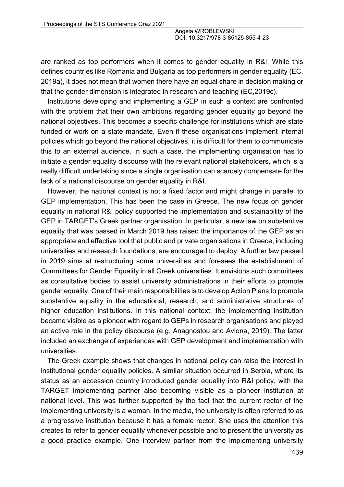are ranked as top performers when it comes to gender equality in R&I. While this defines countries like Romania and Bulgaria as top performers in gender equality (EC, 2019a), it does not mean that women there have an equal share in decision making or that the gender dimension is integrated in research and teaching (EC,2019c).

Institutions developing and implementing a GEP in such a context are confronted with the problem that their own ambitions regarding gender equality go beyond the national objectives. This becomes a specific challenge for institutions which are state funded or work on a state mandate. Even if these organisations implement internal policies which go beyond the national objectives, it is difficult for them to communicate this to an external audience. In such a case, the implementing organisation has to initiate a gender equality discourse with the relevant national stakeholders, which is a really difficult undertaking since a single organisation can scarcely compensate for the lack of a national discourse on gender equality in R&I.

However, the national context is not a fixed factor and might change in parallel to GEP implementation. This has been the case in Greece. The new focus on gender equality in national R&I policy supported the implementation and sustainability of the GEP in TARGET's Greek partner organisation. In particular, a new law on substantive equality that was passed in March 2019 has raised the importance of the GEP as an appropriate and effective tool that public and private organisations in Greece, including universities and research foundations, are encouraged to deploy. A further law passed in 2019 aims at restructuring some universities and foresees the establishment of Committees for Gender Equality in all Greek universities. It envisions such committees as consultative bodies to assist university administrations in their efforts to promote gender equality. One of their main responsibilities is to develop Action Plans to promote substantive equality in the educational, research, and administrative structures of higher education institutions. In this national context, the implementing institution became visible as a pioneer with regard to GEPs in research organisations and played an active role in the policy discourse (e.g. Anagnostou and Avlona, 2019). The latter included an exchange of experiences with GEP development and implementation with universities.

The Greek example shows that changes in national policy can raise the interest in institutional gender equality policies. A similar situation occurred in Serbia, where its status as an accession country introduced gender equality into R&I policy, with the TARGET implementing partner also becoming visible as a pioneer institution at national level. This was further supported by the fact that the current rector of the implementing university is a woman. In the media, the university is often referred to as a progressive institution because it has a female rector. She uses the attention this creates to refer to gender equality whenever possible and to present the university as a good practice example. One interview partner from the implementing university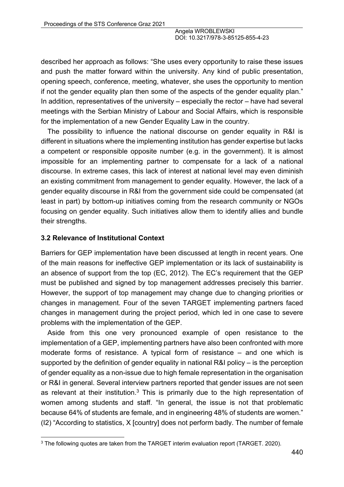described her approach as follows: "She uses every opportunity to raise these issues and push the matter forward within the university. Any kind of public presentation, opening speech, conference, meeting, whatever, she uses the opportunity to mention if not the gender equality plan then some of the aspects of the gender equality plan." In addition, representatives of the university – especially the rector – have had several meetings with the Serbian Ministry of Labour and Social Affairs, which is responsible for the implementation of a new Gender Equality Law in the country.

The possibility to influence the national discourse on gender equality in R&I is different in situations where the implementing institution has gender expertise but lacks a competent or responsible opposite number (e.g. in the government). It is almost impossible for an implementing partner to compensate for a lack of a national discourse. In extreme cases, this lack of interest at national level may even diminish an existing commitment from management to gender equality. However, the lack of a gender equality discourse in R&I from the government side could be compensated (at least in part) by bottom-up initiatives coming from the research community or NGOs focusing on gender equality. Such initiatives allow them to identify allies and bundle their strengths.

#### **3.2 Relevance of Institutional Context**

Barriers for GEP implementation have been discussed at length in recent years. One of the main reasons for ineffective GEP implementation or its lack of sustainability is an absence of support from the top (EC, 2012). The EC's requirement that the GEP must be published and signed by top management addresses precisely this barrier. However, the support of top management may change due to changing priorities or changes in management. Four of the seven TARGET implementing partners faced changes in management during the project period, which led in one case to severe problems with the implementation of the GEP.

Aside from this one very pronounced example of open resistance to the implementation of a GEP, implementing partners have also been confronted with more moderate forms of resistance. A typical form of resistance – and one which is supported by the definition of gender equality in national R&I policy – is the perception of gender equality as a non-issue due to high female representation in the organisation or R&I in general. Several interview partners reported that gender issues are not seen as relevant at their institution.<sup>3</sup> This is primarily due to the high representation of women among students and staff. "In general, the issue is not that problematic because 64% of students are female, and in engineering 48% of students are women." (I2) "According to statistics, X [country] does not perform badly. The number of female

<sup>&</sup>lt;sup>3</sup> The following quotes are taken from the TARGET interim evaluation report (TARGET. 2020).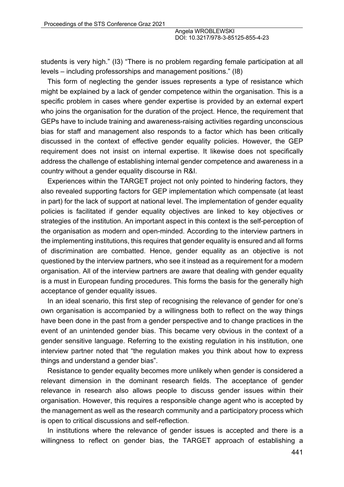students is very high." (I3) "There is no problem regarding female participation at all levels – including professorships and management positions." (I8)

This form of neglecting the gender issues represents a type of resistance which might be explained by a lack of gender competence within the organisation. This is a specific problem in cases where gender expertise is provided by an external expert who joins the organisation for the duration of the project. Hence, the requirement that GEPs have to include training and awareness-raising activities regarding unconscious bias for staff and management also responds to a factor which has been critically discussed in the context of effective gender equality policies. However, the GEP requirement does not insist on internal expertise. It likewise does not specifically address the challenge of establishing internal gender competence and awareness in a country without a gender equality discourse in R&I.

Experiences within the TARGET project not only pointed to hindering factors, they also revealed supporting factors for GEP implementation which compensate (at least in part) for the lack of support at national level. The implementation of gender equality policies is facilitated if gender equality objectives are linked to key objectives or strategies of the institution. An important aspect in this context is the self-perception of the organisation as modern and open-minded. According to the interview partners in the implementing institutions, this requires that gender equality is ensured and all forms of discrimination are combatted. Hence, gender equality as an objective is not questioned by the interview partners, who see it instead as a requirement for a modern organisation. All of the interview partners are aware that dealing with gender equality is a must in European funding procedures. This forms the basis for the generally high acceptance of gender equality issues.

In an ideal scenario, this first step of recognising the relevance of gender for one's own organisation is accompanied by a willingness both to reflect on the way things have been done in the past from a gender perspective and to change practices in the event of an unintended gender bias. This became very obvious in the context of a gender sensitive language. Referring to the existing regulation in his institution, one interview partner noted that "the regulation makes you think about how to express things and understand a gender bias".

Resistance to gender equality becomes more unlikely when gender is considered a relevant dimension in the dominant research fields. The acceptance of gender relevance in research also allows people to discuss gender issues within their organisation. However, this requires a responsible change agent who is accepted by the management as well as the research community and a participatory process which is open to critical discussions and self-reflection.

In institutions where the relevance of gender issues is accepted and there is a willingness to reflect on gender bias, the TARGET approach of establishing a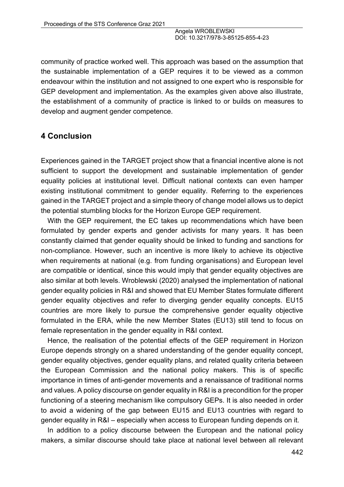community of practice worked well. This approach was based on the assumption that the sustainable implementation of a GEP requires it to be viewed as a common endeavour within the institution and not assigned to one expert who is responsible for GEP development and implementation. As the examples given above also illustrate, the establishment of a community of practice is linked to or builds on measures to develop and augment gender competence.

## **4 Conclusion**

Experiences gained in the TARGET project show that a financial incentive alone is not sufficient to support the development and sustainable implementation of gender equality policies at institutional level. Difficult national contexts can even hamper existing institutional commitment to gender equality. Referring to the experiences gained in the TARGET project and a simple theory of change model allows us to depict the potential stumbling blocks for the Horizon Europe GEP requirement.

With the GEP requirement, the EC takes up recommendations which have been formulated by gender experts and gender activists for many years. It has been constantly claimed that gender equality should be linked to funding and sanctions for non-compliance. However, such an incentive is more likely to achieve its objective when requirements at national (e.g. from funding organisations) and European level are compatible or identical, since this would imply that gender equality objectives are also similar at both levels. Wroblewski (2020) analysed the implementation of national gender equality policies in R&I and showed that EU Member States formulate different gender equality objectives and refer to diverging gender equality concepts. EU15 countries are more likely to pursue the comprehensive gender equality objective formulated in the ERA, while the new Member States (EU13) still tend to focus on female representation in the gender equality in R&I context.

Hence, the realisation of the potential effects of the GEP requirement in Horizon Europe depends strongly on a shared understanding of the gender equality concept, gender equality objectives, gender equality plans, and related quality criteria between the European Commission and the national policy makers. This is of specific importance in times of anti-gender movements and a renaissance of traditional norms and values. A policy discourse on gender equality in R&I is a precondition for the proper functioning of a steering mechanism like compulsory GEPs. It is also needed in order to avoid a widening of the gap between EU15 and EU13 countries with regard to gender equality in R&I – especially when access to European funding depends on it.

In addition to a policy discourse between the European and the national policy makers, a similar discourse should take place at national level between all relevant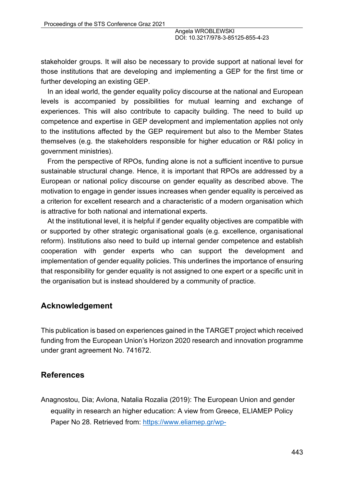stakeholder groups. It will also be necessary to provide support at national level for those institutions that are developing and implementing a GEP for the first time or further developing an existing GEP.

In an ideal world, the gender equality policy discourse at the national and European levels is accompanied by possibilities for mutual learning and exchange of experiences. This will also contribute to capacity building. The need to build up competence and expertise in GEP development and implementation applies not only to the institutions affected by the GEP requirement but also to the Member States themselves (e.g. the stakeholders responsible for higher education or R&I policy in government ministries).

From the perspective of RPOs, funding alone is not a sufficient incentive to pursue sustainable structural change. Hence, it is important that RPOs are addressed by a European or national policy discourse on gender equality as described above. The motivation to engage in gender issues increases when gender equality is perceived as a criterion for excellent research and a characteristic of a modern organisation which is attractive for both national and international experts.

At the institutional level, it is helpful if gender equality objectives are compatible with or supported by other strategic organisational goals (e.g. excellence, organisational reform). Institutions also need to build up internal gender competence and establish cooperation with gender experts who can support the development and implementation of gender equality policies. This underlines the importance of ensuring that responsibility for gender equality is not assigned to one expert or a specific unit in the organisation but is instead shouldered by a community of practice.

## **Acknowledgement**

This publication is based on experiences gained in the TARGET project which received funding from the European Union's Horizon 2020 research and innovation programme under grant agreement No. 741672.

## **References**

Anagnostou, Dia; Avlona, Natalia Rozalia (2019): The European Union and gender equality in research an higher education: A view from Greece, ELIAMEP Policy Paper No 28. Retrieved from: https://www.eliamep.gr/wp-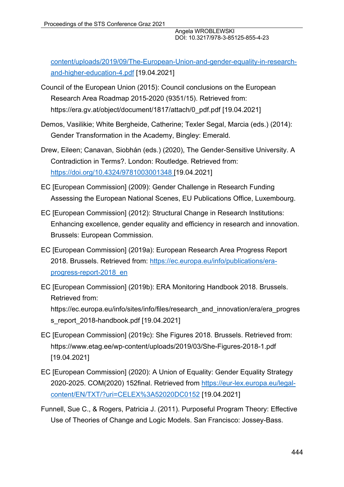content/uploads/2019/09/The-European-Union-and-gender-equality-in-researchand-higher-education-4.pdf [19.04.2021]

- Council of the European Union (2015): Council conclusions on the European Research Area Roadmap 2015-2020 (9351/15). Retrieved from: https://era.gv.at/object/document/1817/attach/0\_pdf.pdf [19.04.2021]
- Demos, Vasilikie; White Bergheide, Catherine; Texler Segal, Marcia (eds.) (2014): Gender Transformation in the Academy, Bingley: Emerald.
- Drew, Eileen; Canavan, Siobhán (eds.) (2020), The Gender-Sensitive University. A Contradiction in Terms?. London: Routledge. Retrieved from: https://doi.org/10.4324/9781003001348 [19.04.2021]
- EC [European Commission] (2009): Gender Challenge in Research Funding Assessing the European National Scenes, EU Publications Office, Luxembourg.
- EC [European Commission] (2012): Structural Change in Research Institutions: Enhancing excellence, gender equality and efficiency in research and innovation. Brussels: European Commission.
- EC [European Commission] (2019a): European Research Area Progress Report 2018. Brussels. Retrieved from: https://ec.europa.eu/info/publications/eraprogress-report-2018\_en
- EC [European Commission] (2019b): ERA Monitoring Handbook 2018. Brussels. Retrieved from: https://ec.europa.eu/info/sites/info/files/research\_and\_innovation/era/era\_progres s\_report\_2018-handbook.pdf [19.04.2021]
- EC [European Commission] (2019c): She Figures 2018. Brussels. Retrieved from: https://www.etag.ee/wp-content/uploads/2019/03/She-Figures-2018-1.pdf [19.04.2021]
- EC [European Commission] (2020): A Union of Equality: Gender Equality Strategy 2020-2025. COM(2020) 152final. Retrieved from https://eur-lex.europa.eu/legalcontent/EN/TXT/?uri=CELEX%3A52020DC0152 [19.04.2021]
- Funnell, Sue C., & Rogers, Patricia J. (2011). Purposeful Program Theory: Effective Use of Theories of Change and Logic Models. San Francisco: Jossey-Bass.